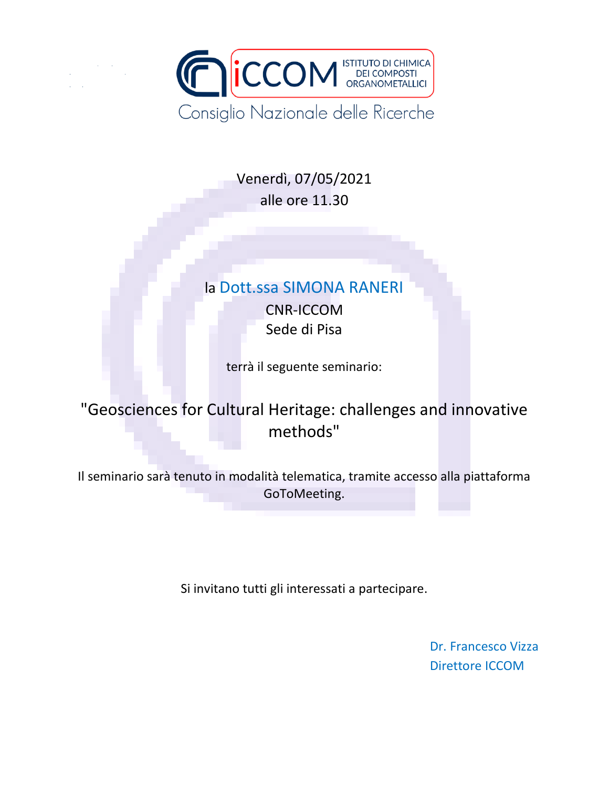

Venerdì, 07/05/2021 alle ore 11.30

## la Dott.ssa SIMONA RANERI

CNR-ICCOM Sede di Pisa

terrà il seguente seminario:

"Geosciences for Cultural Heritage: challenges and innovative methods"

Il seminario sarà tenuto in modalità telematica, tramite accesso alla piattaforma GoToMeeting.

Si invitano tutti gli interessati a partecipare.

Dr. Francesco Vizza Direttore ICCOM